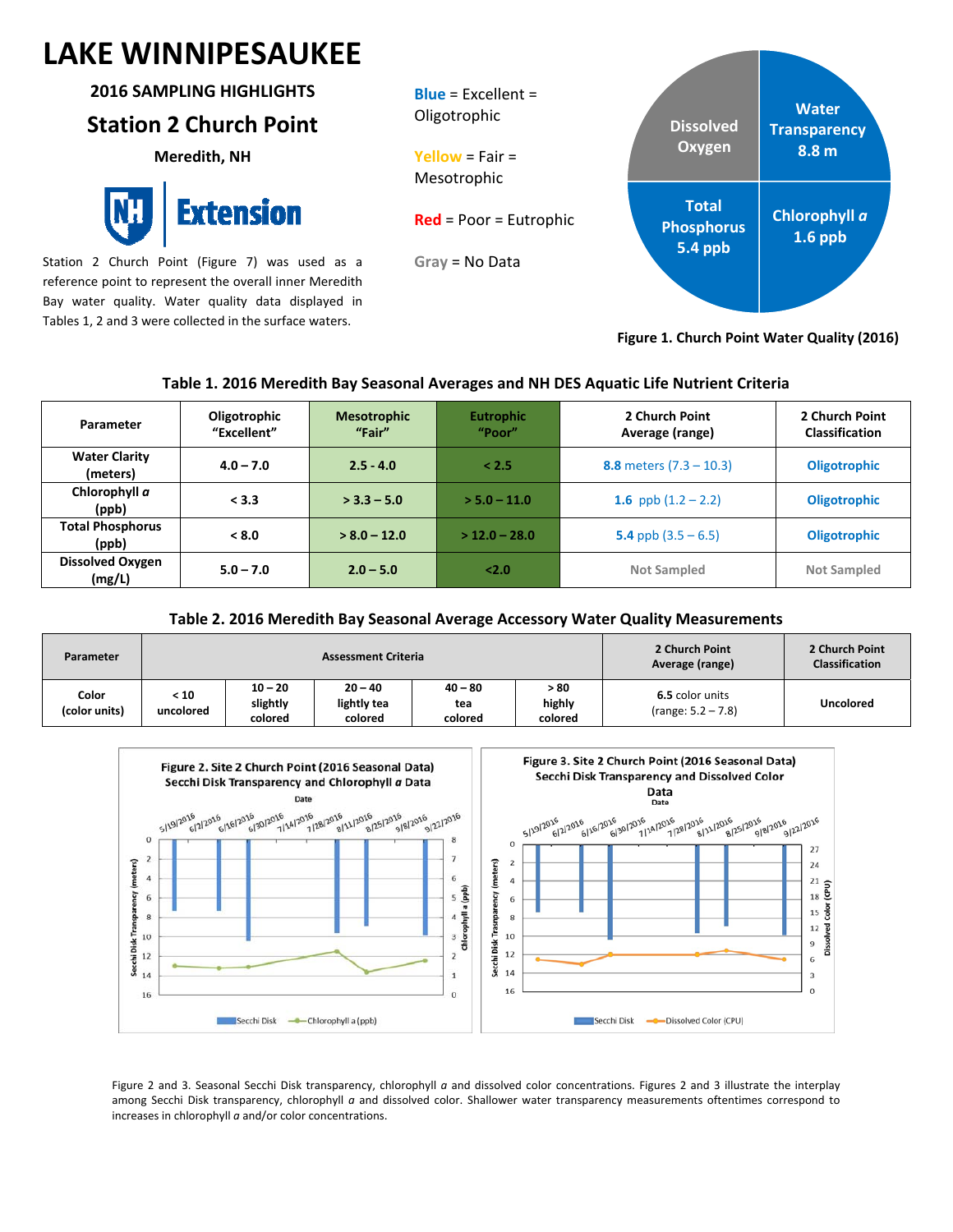# **LAKE WINNIPESAUKEE**

#### **2016 SAMPLING HIGHLIGHTS**

## **Station 2 Church Point**

**Meredith, NH**

Extension

Station 2 Church Point (Figure 7) was used as a reference point to represent the overall inner Meredith Bay water quality. Water quality data displayed in Tables 1, 2 and 3 were collected in the surface waters.



**Figure 1. Church Point Water Quality (2016)**

## **Table 1. 2016 Meredith Bay Seasonal Averages and NH DES Aquatic Life Nutrient Criteria**

| Parameter                         | Oligotrophic<br>"Excellent" | <b>Mesotrophic</b><br>"Fair" | <b>Eutrophic</b><br>"Poor" | 2 Church Point<br>Average (range) | 2 Church Point<br><b>Classification</b> |
|-----------------------------------|-----------------------------|------------------------------|----------------------------|-----------------------------------|-----------------------------------------|
| <b>Water Clarity</b><br>(meters)  | $4.0 - 7.0$                 | $2.5 - 4.0$                  | < 2.5                      | 8.8 meters $(7.3 - 10.3)$         | <b>Oligotrophic</b>                     |
| Chlorophyll a<br>(ppb)            | < 3.3                       | $>$ 3.3 – 5.0                | $>$ 5.0 – 11.0             | 1.6 ppb $(1.2 - 2.2)$             | <b>Oligotrophic</b>                     |
| <b>Total Phosphorus</b><br>(ppb)  | < 8.0                       | $> 8.0 - 12.0$               | $>$ 12.0 - 28.0            | 5.4 ppb $(3.5 - 6.5)$             | <b>Oligotrophic</b>                     |
| <b>Dissolved Oxygen</b><br>(mg/L) | $5.0 - 7.0$                 | $2.0 - 5.0$                  | 2.0                        | <b>Not Sampled</b>                | <b>Not Sampled</b>                      |

### **Table 2. 2016 Meredith Bay Seasonal Average Accessory Water Quality Measurements**

| Parameter              |                   |                                  | <b>Assessment Criteria</b>          | 2 Church Point<br>Average (range) | 2 Church Point<br><b>Classification</b> |                                         |                  |
|------------------------|-------------------|----------------------------------|-------------------------------------|-----------------------------------|-----------------------------------------|-----------------------------------------|------------------|
| Color<br>(color units) | < 10<br>uncolored | $10 - 20$<br>slightly<br>colored | $20 - 40$<br>lightly tea<br>colored | $40 - 80$<br>tea<br>colored       | > 80<br>highly<br>colored               | 6.5 color units<br>$(range: 5.2 - 7.8)$ | <b>Uncolored</b> |



Figure 2 and 3. Seasonal Secchi Disk transparency, chlorophyll *a* and dissolved color concentrations. Figures 2 and 3 illustrate the interplay among Secchi Disk transparency, chlorophyll *a* and dissolved color. Shallower water transparency measurements oftentimes correspond to increases in chlorophyll *a* and/or color concentrations.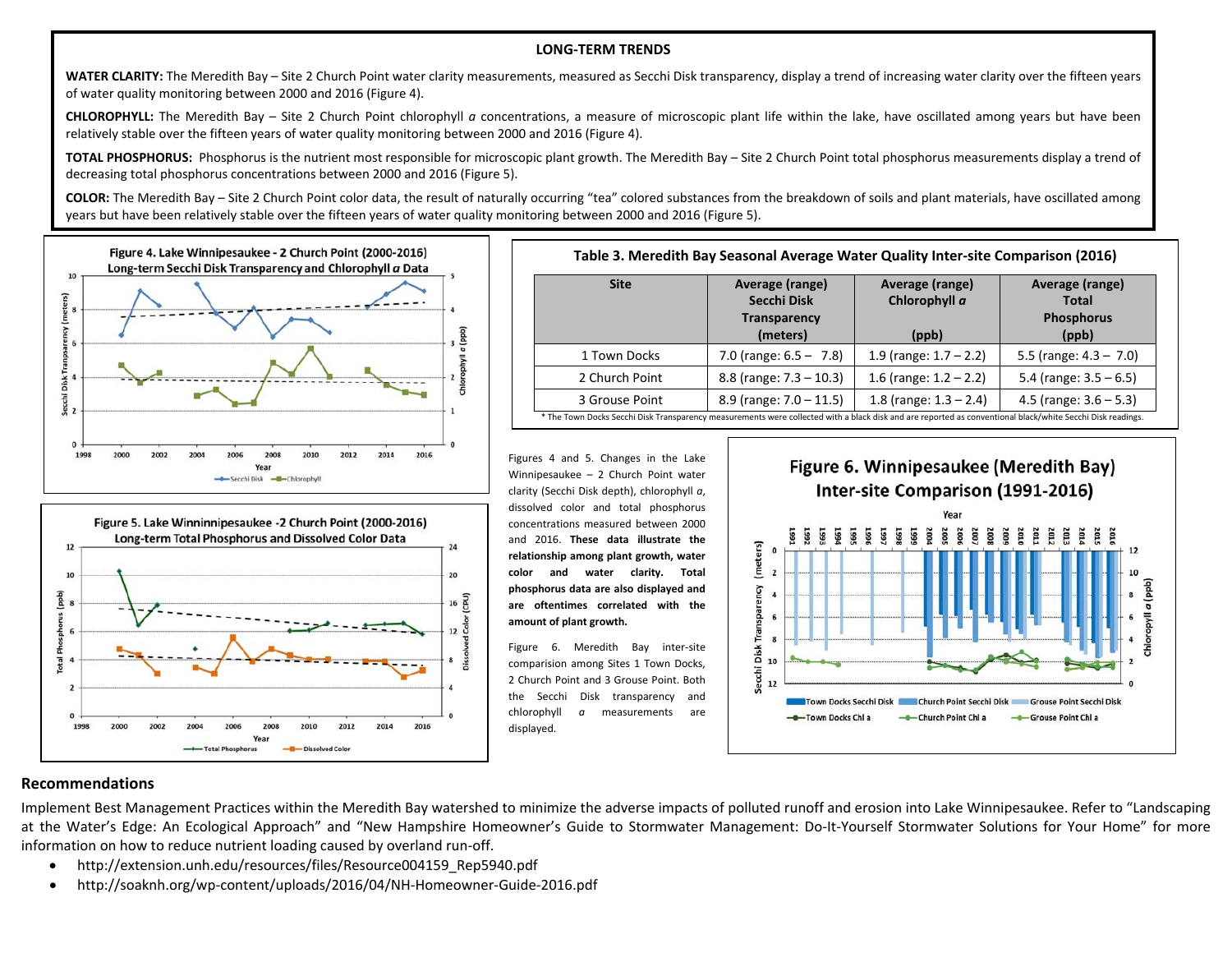#### **LONG‐TERM TRENDS**

**WATER CLARITY:** The Meredith Bay – Site 2 Church Point water clarity measurements, measured as Secchi Disk transparency, display <sup>a</sup> trend of increasing water clarity over the fifteen years of water quality monitoring between 2000 and 2016 (Figure 4).

**CHLOROPHYLL:** The Meredith Bay – Site 2 Church Point chlorophyll *<sup>a</sup>* concentrations, <sup>a</sup> measure of microscopic plant life within the lake, have oscillated among years but have been relatively stable over the fifteen years of water quality monitoring between 2000 and 2016 (Figure 4).

**TOTAL PHOSPHORUS:** Phosphorus is the nutrient most responsible for microscopic plant growth. The Meredith Bay – Site 2 Church Point total phosphorus measurements display <sup>a</sup> trend of decreasing total phosphorus concentrations between 2000 and 2016 (Figure 5).

**COLOR:** The Meredith Bay – Site 2 Church Point color data, the result of naturally occurring "tea" colored substances from the breakdown of soils and plant materials, have oscillated among years but have been relatively stable over the fifteen years of water quality monitoring between 2000 and 2016 (Figure 5).





| Table 3. Meredith Bay Seasonal Average Water Quality Inter-site Comparison (2016)                                                                          |                                 |                                  |                                 |  |  |  |
|------------------------------------------------------------------------------------------------------------------------------------------------------------|---------------------------------|----------------------------------|---------------------------------|--|--|--|
| <b>Site</b>                                                                                                                                                | Average (range)<br>Secchi Disk  | Average (range)<br>Chlorophyll a | Average (range)<br><b>Total</b> |  |  |  |
|                                                                                                                                                            | <b>Transparency</b><br>(meters) | (ppb)                            | <b>Phosphorus</b><br>(ppb)      |  |  |  |
| 1 Town Docks                                                                                                                                               | 7.0 (range: $6.5 - 7.8$ )       | 1.9 (range: $1.7 - 2.2$ )        | 5.5 (range: $4.3 - 7.0$ )       |  |  |  |
| 2 Church Point                                                                                                                                             | 8.8 (range: $7.3 - 10.3$ )      | 1.6 (range: $1.2 - 2.2$ )        | 5.4 (range: $3.5 - 6.5$ )       |  |  |  |
| 3 Grouse Point                                                                                                                                             | 8.9 (range: $7.0 - 11.5$ )      | 1.8 (range: $1.3 - 2.4$ )        | 4.5 (range: $3.6 - 5.3$ )       |  |  |  |
| * The Town Docks Secchi Disk Transparency measurements were collected with a black disk and are reported as conventional black/white Secchi Disk readings. |                                 |                                  |                                 |  |  |  |

Figures 4 and 5. Changes in the Lake Winnipesaukee – 2 Church Point water clarity (Secchi Disk depth), chlorophyll *<sup>a</sup>*, dissolved color and total phosphorus concentrations measured between 2000 and 2016. **These data illustrate the relationship among plant growth, water color and water clarity. Total phosphorus data are also displayed and are oftentimes correlated with the amount of plant growth.**

Figure 6. Meredith Bay inter‐site comparision among Sites 1 Town Docks, 2 Church Point and 3 Grouse Point. Both the Secchi Disk transparency and chlorophyll *<sup>a</sup>* measurements are displayed.



#### **Recommendations**

Implement Best Management Practices within the Meredith Bay watershed to minimize the adverse impacts of polluted runoff and erosion into Lake Winnipesaukee. Refer to "Landscaping at the Water's Edge: An Ecological Approach" and "New Hampshire Homeowner's Guide to Stormwater Management: Do‐It‐Yourself Stormwater Solutions for Your Home" for more information on how to reduce nutrient loading caused by overland run‐off.

- . http://extension.unh.edu/resources/files/Resource004159\_Rep5940.pdf
- $\bullet$ http://soaknh.org/wp‐content/uploads/2016/04/NH‐Homeowner‐Guide‐2016.pdf